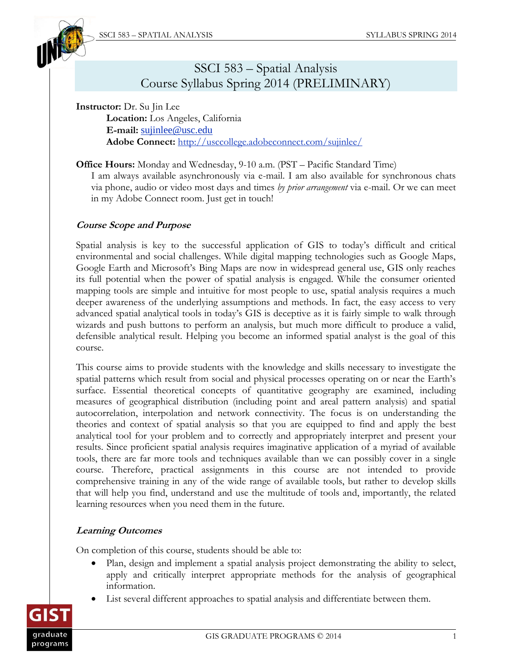

# SSCI 583 – Spatial Analysis Course Syllabus Spring 2014 (PRELIMINARY)

**Instructor:** Dr. Su Jin Lee **Location:** Los Angeles, California **E-mail:** [sujinlee@usc.edu](mailto:sujinlee@usc.edu) **Adobe Connect:** <http://usccollege.adobeconnect.com/sujinlee/>

**Office Hours:** Monday and Wednesday, 9-10 a.m. (PST – Pacific Standard Time)

I am always available asynchronously via e-mail. I am also available for synchronous chats via phone, audio or video most days and times *by prior arrangement* via e-mail. Or we can meet in my Adobe Connect room. Just get in touch!

## **Course Scope and Purpose**

Spatial analysis is key to the successful application of GIS to today's difficult and critical environmental and social challenges. While digital mapping technologies such as Google Maps, Google Earth and Microsoft's Bing Maps are now in widespread general use, GIS only reaches its full potential when the power of spatial analysis is engaged. While the consumer oriented mapping tools are simple and intuitive for most people to use, spatial analysis requires a much deeper awareness of the underlying assumptions and methods. In fact, the easy access to very advanced spatial analytical tools in today's GIS is deceptive as it is fairly simple to walk through wizards and push buttons to perform an analysis, but much more difficult to produce a valid, defensible analytical result. Helping you become an informed spatial analyst is the goal of this course.

This course aims to provide students with the knowledge and skills necessary to investigate the spatial patterns which result from social and physical processes operating on or near the Earth's surface. Essential theoretical concepts of quantitative geography are examined, including measures of geographical distribution (including point and areal pattern analysis) and spatial autocorrelation, interpolation and network connectivity. The focus is on understanding the theories and context of spatial analysis so that you are equipped to find and apply the best analytical tool for your problem and to correctly and appropriately interpret and present your results. Since proficient spatial analysis requires imaginative application of a myriad of available tools, there are far more tools and techniques available than we can possibly cover in a single course. Therefore, practical assignments in this course are not intended to provide comprehensive training in any of the wide range of available tools, but rather to develop skills that will help you find, understand and use the multitude of tools and, importantly, the related learning resources when you need them in the future.

## **Learning Outcomes**

On completion of this course, students should be able to:

- Plan, design and implement a spatial analysis project demonstrating the ability to select, apply and critically interpret appropriate methods for the analysis of geographical information.
- List several different approaches to spatial analysis and differentiate between them.

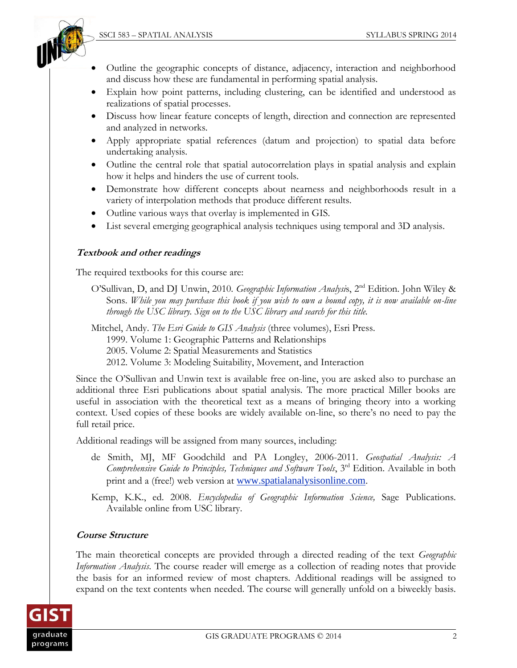

- Outline the geographic concepts of distance, adjacency, interaction and neighborhood and discuss how these are fundamental in performing spatial analysis.
- Explain how point patterns, including clustering, can be identified and understood as realizations of spatial processes.
- Discuss how linear feature concepts of length, direction and connection are represented and analyzed in networks.
- Apply appropriate spatial references (datum and projection) to spatial data before undertaking analysis.
- Outline the central role that spatial autocorrelation plays in spatial analysis and explain how it helps and hinders the use of current tools.
- Demonstrate how different concepts about nearness and neighborhoods result in a variety of interpolation methods that produce different results.
- Outline various ways that overlay is implemented in GIS.
- List several emerging geographical analysis techniques using temporal and 3D analysis.

#### **Textbook and other readings**

The required textbooks for this course are:

O'Sullivan, D, and DJ Unwin, 2010. *Geographic Information Analysis*, 2<sup>nd</sup> Edition. John Wiley & Sons. *While you may purchase this book if you wish to own a bound copy, it is now available on-line through the USC library. Sign on to the USC library and search for this title.* 

Mitchel, Andy. *The Esri Guide to GIS Analysis* (three volumes), Esri Press. 1999. Volume 1: Geographic Patterns and Relationships 2005. Volume 2: Spatial Measurements and Statistics 2012. Volume 3: Modeling Suitability, Movement, and Interaction

Since the O'Sullivan and Unwin text is available free on-line, you are asked also to purchase an additional three Esri publications about spatial analysis. The more practical Miller books are useful in association with the theoretical text as a means of bringing theory into a working context. Used copies of these books are widely available on-line, so there's no need to pay the full retail price.

Additional readings will be assigned from many sources, including:

de Smith, MJ, MF Goodchild and PA Longley, 2006-2011. *Geospatial Analysis: A Comprehensive Guide to Principles, Techniques and Software Tools*, 3<sup>rd</sup> Edition. Available in both print and a (free!) web version at [www.spatialanalysisonline.com](http://www.spatialanalysisonline.com/).

Kemp, K.K., ed. 2008. *Encyclopedia of Geographic Information Science,* Sage Publications. Available online from USC library.

#### **Course Structure**

The main theoretical concepts are provided through a directed reading of the text *Geographic Information Analysis*. The course reader will emerge as a collection of reading notes that provide the basis for an informed review of most chapters. Additional readings will be assigned to expand on the text contents when needed. The course will generally unfold on a biweekly basis.

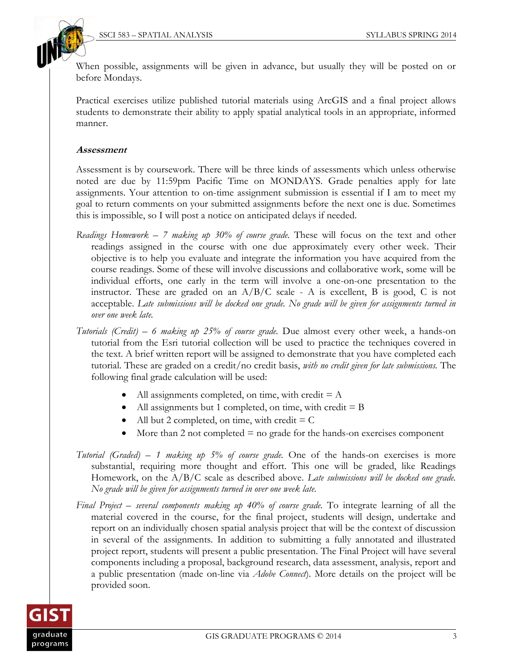

When possible, assignments will be given in advance, but usually they will be posted on or before Mondays.

Practical exercises utilize published tutorial materials using ArcGIS and a final project allows students to demonstrate their ability to apply spatial analytical tools in an appropriate, informed manner.

### **Assessment**

Assessment is by coursework. There will be three kinds of assessments which unless otherwise noted are due by 11:59pm Pacific Time on MONDAYS. Grade penalties apply for late assignments. Your attention to on-time assignment submission is essential if I am to meet my goal to return comments on your submitted assignments before the next one is due. Sometimes this is impossible, so I will post a notice on anticipated delays if needed.

- *Readings Homework 7 making up 30% of course grade.* These will focus on the text and other readings assigned in the course with one due approximately every other week. Their objective is to help you evaluate and integrate the information you have acquired from the course readings. Some of these will involve discussions and collaborative work, some will be individual efforts, one early in the term will involve a one-on-one presentation to the instructor. These are graded on an  $A/B/C$  scale - A is excellent, B is good, C is not acceptable. *Late submissions will be docked one grade. No grade will be given for assignments turned in over one week late.*
- *Tutorials (Credit) 6 making up 25% of course grade.* Due almost every other week, a hands-on tutorial from the Esri tutorial collection will be used to practice the techniques covered in the text. A brief written report will be assigned to demonstrate that you have completed each tutorial. These are graded on a credit/no credit basis, *with no credit given for late submissions.* The following final grade calculation will be used:
	- All assignments completed, on time, with credit  $= A$
	- All assignments but 1 completed, on time, with credit  $=$  B
	- All but 2 completed, on time, with credit  $= C$
	- $\bullet$  More than 2 not completed  $\equiv$  no grade for the hands-on exercises component
- *Tutorial (Graded) – 1 making up 5% of course grade.* One of the hands-on exercises is more substantial, requiring more thought and effort. This one will be graded, like Readings Homework, on the A/B/C scale as described above. *Late submissions will be docked one grade. No grade will be given for assignments turned in over one week late.*
- *Final Project several components making up 40% of course grade.* To integrate learning of all the material covered in the course, for the final project, students will design, undertake and report on an individually chosen spatial analysis project that will be the context of discussion in several of the assignments. In addition to submitting a fully annotated and illustrated project report, students will present a public presentation. The Final Project will have several components including a proposal, background research, data assessment, analysis, report and a public presentation (made on-line via *Adobe Connect*). More details on the project will be provided soon.

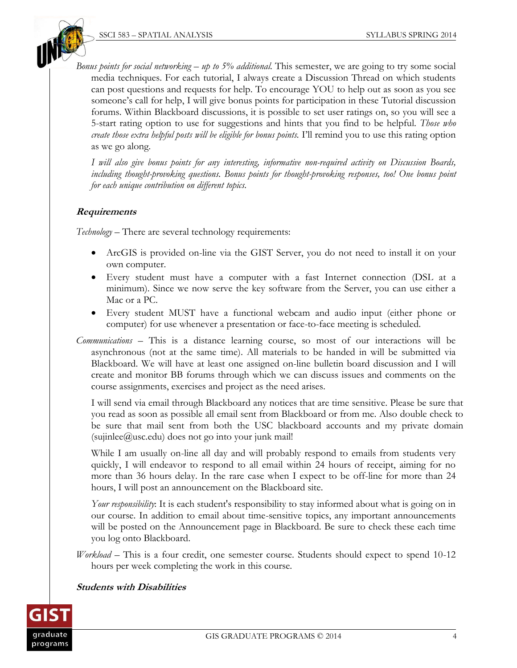

*Bonus points for social networking* – *up to 5% additional.* This semester, we are going to try some social media techniques. For each tutorial, I always create a Discussion Thread on which students can post questions and requests for help. To encourage YOU to help out as soon as you see someone's call for help, I will give bonus points for participation in these Tutorial discussion forums. Within Blackboard discussions, it is possible to set user ratings on, so you will see a 5-start rating option to use for suggestions and hints that you find to be helpful. *Those who create those extra helpful posts will be eligible for bonus points.* I'll remind you to use this rating option as we go along.

*I will also give bonus points for any interesting, informative non-required activity on Discussion Boards, including thought-provoking questions. Bonus points for thought-provoking responses, too! One bonus point for each unique contribution on different topics.*

## **Requirements**

*Technology –* There are several technology requirements:

- ArcGIS is provided on-line via the GIST Server, you do not need to install it on your own computer.
- Every student must have a computer with a fast Internet connection (DSL at a minimum). Since we now serve the key software from the Server, you can use either a Mac or a PC.
- Every student MUST have a functional webcam and audio input (either phone or computer) for use whenever a presentation or face-to-face meeting is scheduled.
- *Communications* This is a distance learning course, so most of our interactions will be asynchronous (not at the same time). All materials to be handed in will be submitted via Blackboard. We will have at least one assigned on-line bulletin board discussion and I will create and monitor BB forums through which we can discuss issues and comments on the course assignments, exercises and project as the need arises.

I will send via email through Blackboard any notices that are time sensitive. Please be sure that you read as soon as possible all email sent from Blackboard or from me. Also double check to be sure that mail sent from both the USC blackboard accounts and my private domain  $(su$ inlee $@$ usc.edu) does not go into your junk mail!

While I am usually on-line all day and will probably respond to emails from students very quickly, I will endeavor to respond to all email within 24 hours of receipt, aiming for no more than 36 hours delay. In the rare case when I expect to be off-line for more than 24 hours, I will post an announcement on the Blackboard site.

*Your responsibility*: It is each student's responsibility to stay informed about what is going on in our course. In addition to email about time-sensitive topics, any important announcements will be posted on the Announcement page in Blackboard. Be sure to check these each time you log onto Blackboard.

*Workload* – This is a four credit, one semester course. Students should expect to spend 10-12 hours per week completing the work in this course.

#### **Students with Disabilities**

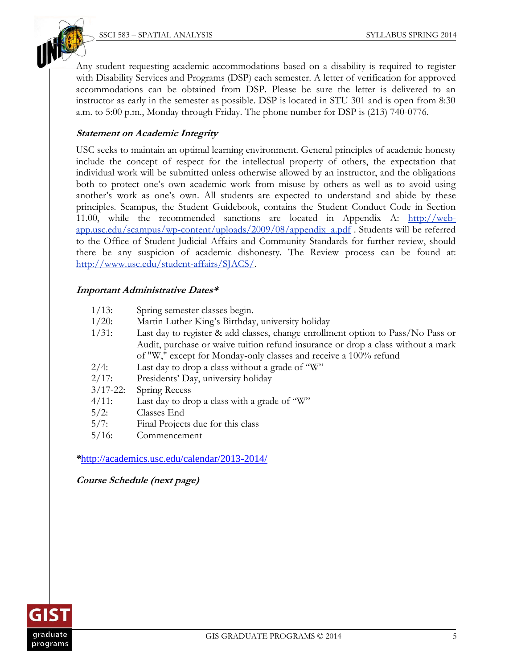Any student requesting academic accommodations based on a disability is required to register with Disability Services and Programs (DSP) each semester. A letter of verification for approved accommodations can be obtained from DSP. Please be sure the letter is delivered to an instructor as early in the semester as possible. DSP is located in STU 301 and is open from 8:30 a.m. to 5:00 p.m., Monday through Friday. The phone number for DSP is (213) 740-0776.

### **Statement on Academic Integrity**

USC seeks to maintain an optimal learning environment. General principles of academic honesty include the concept of respect for the intellectual property of others, the expectation that individual work will be submitted unless otherwise allowed by an instructor, and the obligations both to protect one's own academic work from misuse by others as well as to avoid using another's work as one's own. All students are expected to understand and abide by these principles. Scampus, the Student Guidebook, contains the Student Conduct Code in Section 11.00, while the recommended sanctions are located in Appendix A: [http://web](http://web-app.usc.edu/scampus/wp-content/uploads/2009/08/appendix_a.pdf)[app.usc.edu/scampus/wp-content/uploads/2009/08/appendix\\_a.pdf](http://web-app.usc.edu/scampus/wp-content/uploads/2009/08/appendix_a.pdf) . Students will be referred to the Office of Student Judicial Affairs and Community Standards for further review, should there be any suspicion of academic dishonesty. The Review process can be found at: [http://www.usc.edu/student-affairs/SJACS/.](http://www.usc.edu/student-affairs/SJACS/)

## **Important Administrative Dates\***

- 1/13: Spring semester classes begin.
- 1/20: Martin Luther King's Birthday, university holiday
- 1/31: Last day to register & add classes, change enrollment option to Pass/No Pass or Audit, purchase or waive tuition refund insurance or drop a class without a mark of "W," except for Monday-only classes and receive a 100% refund
- $2/4$ : Last day to drop a class without a grade of "W"
- 2/17: Presidents' Day, university holiday
- 3/17-22: Spring Recess
- $4/11$ : Last day to drop a class with a grade of "W"
- 5/2: Classes End
- 5/7: Final Projects due for this class
- 5/16: Commencement

*\**<http://academics.usc.edu/calendar/2013-2014/>

**Course Schedule (next page)**